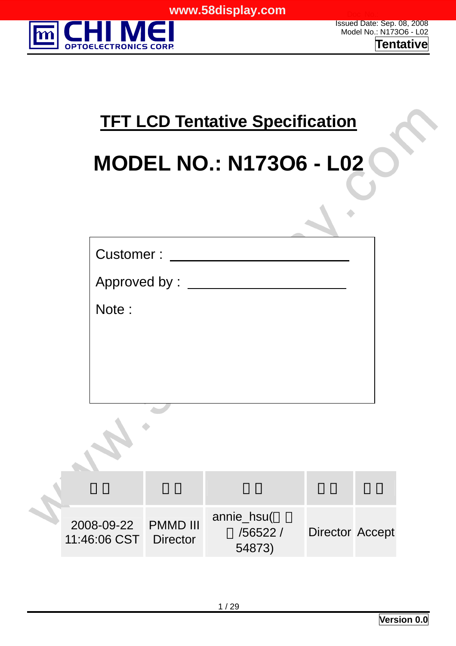

Issued Date: Sep. 08, 2008 Model No.: N173O6 - L02 **Tentative**

## **TFT LCD Tentative Specification**

# **MODEL NO.: N173O6 - L02**

| Customer:                                     |                 |                                  |                 |  |
|-----------------------------------------------|-----------------|----------------------------------|-----------------|--|
|                                               | Approved by: __ |                                  |                 |  |
| Note:                                         |                 |                                  |                 |  |
|                                               |                 |                                  |                 |  |
|                                               |                 |                                  |                 |  |
|                                               |                 |                                  |                 |  |
|                                               |                 |                                  |                 |  |
|                                               |                 |                                  |                 |  |
| 2008-09-22  PMMD III<br>11:46:06 CST Director |                 | annie_hsu(<br>/56522 /<br>54873) | Director Accept |  |
|                                               |                 |                                  |                 |  |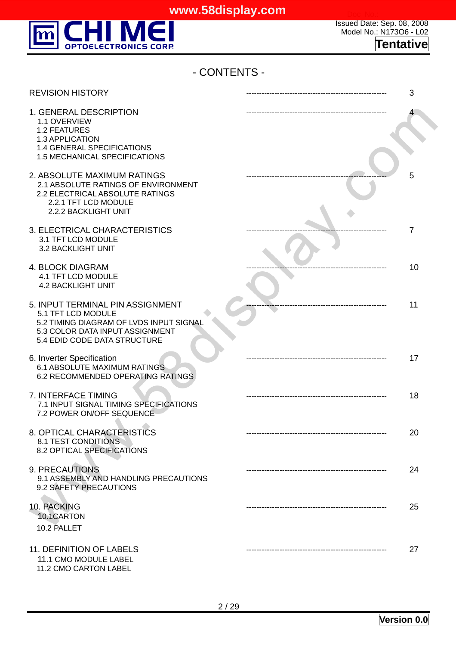

| - CONTENTS -                                                                                                                                                         |    |
|----------------------------------------------------------------------------------------------------------------------------------------------------------------------|----|
| <b>REVISION HISTORY</b>                                                                                                                                              | 3  |
| 1. GENERAL DESCRIPTION<br>1.1 OVERVIEW<br><b>1.2 FEATURES</b><br>1.3 APPLICATION<br>1.4 GENERAL SPECIFICATIONS<br>1.5 MECHANICAL SPECIFICATIONS                      |    |
| 2. ABSOLUTE MAXIMUM RATINGS<br>2.1 ABSOLUTE RATINGS OF ENVIRONMENT<br>2.2 ELECTRICAL ABSOLUTE RATINGS<br>2.2.1 TFT LCD MODULE<br>2.2.2 BACKLIGHT UNIT                | 5  |
| 3. ELECTRICAL CHARACTERISTICS<br>3.1 TFT LCD MODULE<br>3.2 BACKLIGHT UNIT                                                                                            | 7  |
| <b>4. BLOCK DIAGRAM</b><br><b>4.1 TFT LCD MODULE</b><br><b>4.2 BACKLIGHT UNIT</b>                                                                                    | 10 |
| 5. INPUT TERMINAL PIN ASSIGNMENT<br>5.1 TFT LCD MODULE<br>5.2 TIMING DIAGRAM OF LVDS INPUT SIGNAL<br>5.3 COLOR DATA INPUT ASSIGNMENT<br>5.4 EDID CODE DATA STRUCTURE | 11 |
| 6. Inverter Specification<br><b>6.1 ABSOLUTE MAXIMUM RATINGS</b><br>6.2 RECOMMENDED OPERATING RATINGS                                                                | 17 |
| 7. INTERFACE TIMING<br>7.1 INPUT SIGNAL TIMING SPECIFICATIONS<br>7.2 POWER ON/OFF SEQUENCE                                                                           | 18 |
| 8. OPTICAL CHARACTERISTICS<br><b>8.1 TEST CONDITIONS</b><br>8.2 OPTICAL SPECIFICATIONS                                                                               | 20 |
| 9. PRECAUTIONS<br>9.1 ASSEMBLY AND HANDLING PRECAUTIONS<br>9.2 SAFETY PRECAUTIONS                                                                                    | 24 |
| 10. PACKING<br>10.1CARTON<br>10.2 PALLET                                                                                                                             | 25 |
| 11. DEFINITION OF LABELS<br>11.1 CMO MODULE LABEL                                                                                                                    | 27 |

11.2 CMO CARTON LABEL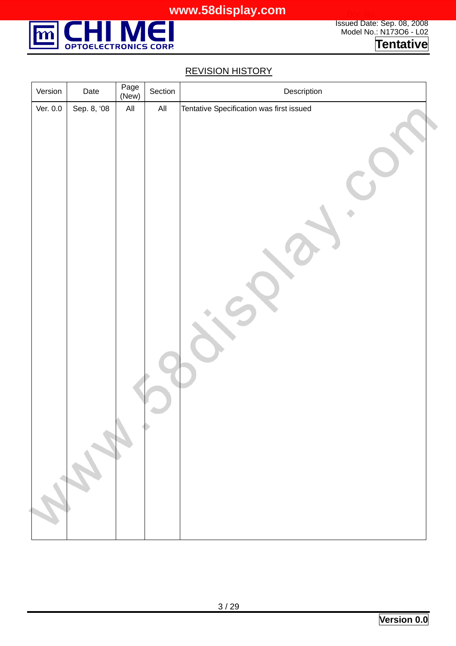

#### REVISION HISTORY

| Version  | Date        | Page<br>(New)  | Section        | Description                              |
|----------|-------------|----------------|----------------|------------------------------------------|
| Ver. 0.0 | Sep. 8, '08 | $\mathsf{All}$ | $\mathsf{All}$ | Tentative Specification was first issued |
|          | Change of   |                |                |                                          |
|          |             |                |                |                                          |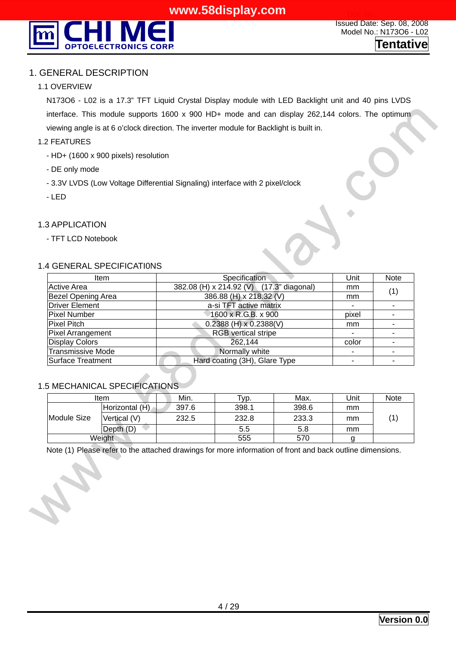

#### 1. GENERAL DESCRIPTION

#### 1.1 OVERVIEW

N173O6 - L02 is a 17.3" TFT Liquid Crystal Display module with LED Backlight unit and 40 pins LVDS interface. This module supports 1600 x 900 HD+ mode and can display 262,144 colors. The optimum viewing angle is at 6 o'clock direction. The inverter module for Backlight is built in.

#### 1.2 FEATURES

- HD+ (1600 x 900 pixels) resolution
- DE only mode
- 3.3V LVDS (Low Voltage Differential Signaling) interface with 2 pixel/clock
- LED

#### 1.3 APPLICATION

- TFT LCD Notebook

#### 1.4 GENERAL SPECIFICATI0NS

| <b>Item</b>               | Specification                            | Unit                     | <b>Note</b> |
|---------------------------|------------------------------------------|--------------------------|-------------|
| Active Area               | 382.08 (H) x 214.92 (V) (17.3" diagonal) | mm                       | (1)         |
| <b>Bezel Opening Area</b> | 386.88 (H) x 218.32 (V)                  | mm                       |             |
| Driver Element            | a-si TFT active matrix                   |                          |             |
| Pixel Number              | 1600 x R.G.B. x 900                      | pixel                    |             |
| Pixel Pitch               | $0.2388$ (H) x $0.2388$ (V)              | mm                       |             |
| Pixel Arrangement         | <b>RGB</b> vertical stripe               |                          |             |
| <b>Display Colors</b>     | 262,144                                  | color                    |             |
| <b>Transmissive Mode</b>  | Normally white                           | $\overline{\phantom{0}}$ |             |
| Surface Treatment         | Hard coating (3H), Glare Type            |                          |             |

#### 1.5 MECHANICAL SPECIFICATIONS

| ltem        |                | Min.  | Typ.  | Max.  | Unit | <b>Note</b> |  |
|-------------|----------------|-------|-------|-------|------|-------------|--|
| Module Size | Horizontal (H) | 397.6 | 398.1 | 398.6 | mm   |             |  |
|             | Vertical (V)   | 232.5 | 232.8 | 233.3 | mm   |             |  |
|             | Depth (D)      |       | 5.5   | 5.8   | mm   |             |  |
|             | Weight         |       | 555   | 570   |      |             |  |

Note (1) Please refer to the attached drawings for more information of front and back outline dimensions.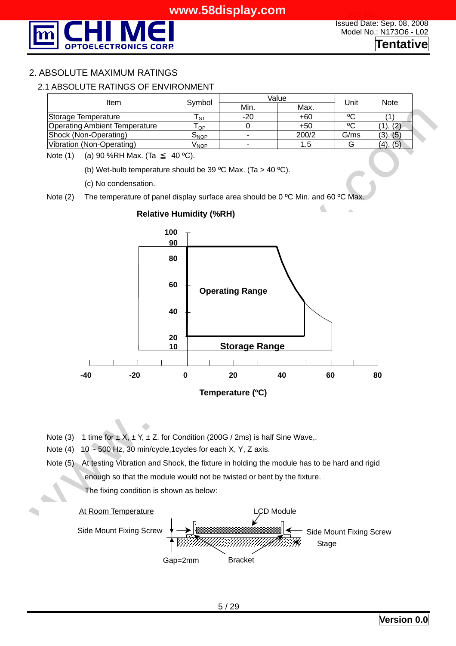

#### 2. ABSOLUTE MAXIMUM RATINGS

#### 2.1 ABSOLUTE RATINGS OF ENVIRONMENT

| Item                                 | Symbol                      | Value | Unit  | <b>Note</b> |          |
|--------------------------------------|-----------------------------|-------|-------|-------------|----------|
|                                      |                             | Min.  | Max.  |             |          |
| Storage Temperature                  | ST.                         | $-20$ | $+60$ | ٥C          |          |
| <b>Operating Ambient Temperature</b> | $\mathsf{T}_{\mathsf{OP}}$  |       | $+50$ | °C          | 1), (2)  |
| Shock (Non-Operating)                | $\mathsf{S}_{\mathsf{NOP}}$ | ۰.    | 200/2 | G/ms        | (3), (5) |
| Vibration (Non-Operating)            | V <sub>NOP</sub>            | ۰.    | 1.5   |             | (4), (5) |

Note (1) (a) 90 %RH Max. (Ta 40 °C).

(b) Wet-bulb temperature should be 39 °C Max. (Ta > 40 °C).

(c) No condensation.

Note (2) The temperature of panel display surface area should be 0 °C Min. and 60 °C Max



**Relative Humidity (%RH)** 

- Note (3) 1 time for  $\pm X$ ,  $\pm Y$ ,  $\pm Z$ . for Condition (200G / 2ms) is half Sine Wave,.
- Note (4)  $10 \sim 500$  Hz, 30 min/cycle,1cycles for each X, Y, Z axis.
- Note (5) At testing Vibration and Shock, the fixture in holding the module has to be hard and rigid enough so that the module would not be twisted or bent by the fixture. The fixing condition is shown as below:

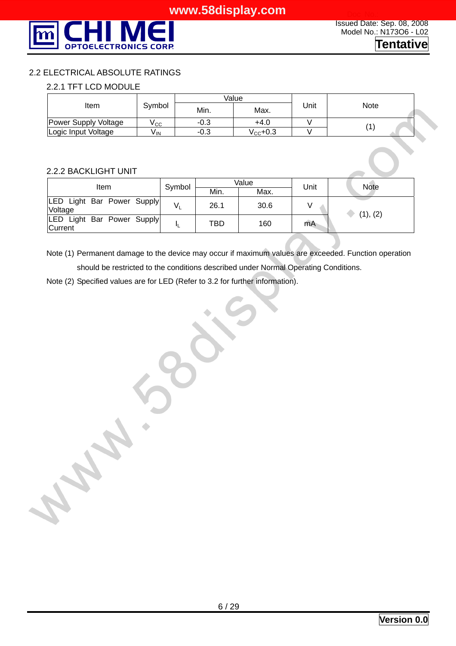

#### 2.2 ELECTRICAL ABSOLUTE RATINGS

#### 2.2.1 TFT LCD MODULE

|                      |        |      | Value                 |      |      |  |  |
|----------------------|--------|------|-----------------------|------|------|--|--|
| Item                 | Symbol | Min. | Max.                  | Jnit | Note |  |  |
| Power Supply Voltage | ∨сс    | -0.3 | +4.0                  |      |      |  |  |
| Logic Input Voltage  | V IN   | -0.3 | $\rm V_{\rm CC}$ +0.3 |      |      |  |  |

#### 2.2.2 BACKLIGHT UNIT

| Item                                  | Symbol |      | Value | Unit | <b>Note</b> |
|---------------------------------------|--------|------|-------|------|-------------|
|                                       |        | Min. | Max.  |      |             |
| LED Light Bar Power Supply<br>Voltage | V.     | 26.1 | 30.6  |      | (1), (2)    |
| LED Light Bar Power Supply<br>Current |        | TBD  | 160   | mA   |             |

Note (1) Permanent damage to the device may occur if maximum values are exceeded. Function operation should be restricted to the conditions described under Normal Operating Conditions.

Note (2) Specified values are for LED (Refer to 3.2 for further information).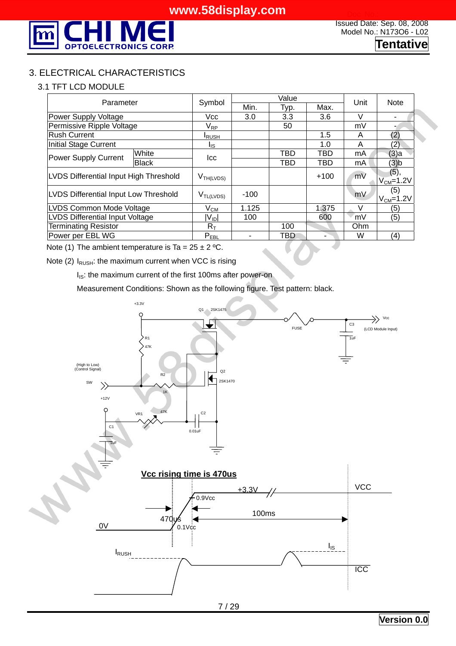

#### 3. ELECTRICAL CHARACTERISTICS

#### 3.1 TFT LCD MODULE

| Parameter                              |              | Symbol                        |        | Value      |            | Unit   | <b>Note</b>             |
|----------------------------------------|--------------|-------------------------------|--------|------------|------------|--------|-------------------------|
|                                        |              |                               | Min.   | Typ.       | Max.       |        |                         |
| <b>Power Supply Voltage</b>            |              | Vcc                           | 3.0    | 3.3        | 3.6        | V      |                         |
| Permissive Ripple Voltage              |              | $\mathsf{V}_{\mathsf{RP}}$    |        | 50         |            | mV     |                         |
| <b>Rush Current</b>                    |              | <b>I</b> RUSH                 |        |            | 1.5        | A      | (2)                     |
| Initial Stage Current                  |              | l <sub>is</sub>               |        |            | 1.0        | A      | (2)                     |
| Power Supply Current                   | White        | lcc                           |        | <b>TBD</b> | <b>TBD</b> | mA     | (3)a                    |
|                                        | <b>Black</b> |                               |        | TBD        | TBD        | mA     | (3)b                    |
| LVDS Differential Input High Threshold |              | V <sub>TH(LVDS)</sub>         |        |            | $+100$     | mV     | (5),<br>$V_{CM} = 1.2V$ |
| LVDS Differential Input Low Threshold  |              | $V_{TL(LVDS)}$                | $-100$ |            |            | mV     | (5)<br>$V_{CM} = 1.2V$  |
| <b>LVDS Common Mode Voltage</b>        |              | $\mathsf{V}_{\mathsf{CM}}$    | 1.125  |            | 1.375      | $\vee$ | (5)                     |
| <b>LVDS Differential Input Voltage</b> |              | $ V_{ID} $                    | 100    |            | 600        | mV     | (5)                     |
| <b>Terminating Resistor</b>            |              | $R_{\scriptscriptstyle\sf T}$ |        | 100        |            | Ohm    |                         |
| Power per EBL WG                       |              | $P_{EBL}$                     |        | TBD        |            | W      | (4)                     |

Note (1) The ambient temperature is Ta =  $25 \pm 2$  °C.

Note (2)  $I_{RUSH}$ : the maximum current when VCC is rising

I<sub>IS</sub>: the maximum current of the first 100ms after power-on

Measurement Conditions: Shown as the following figure. Test pattern: black.

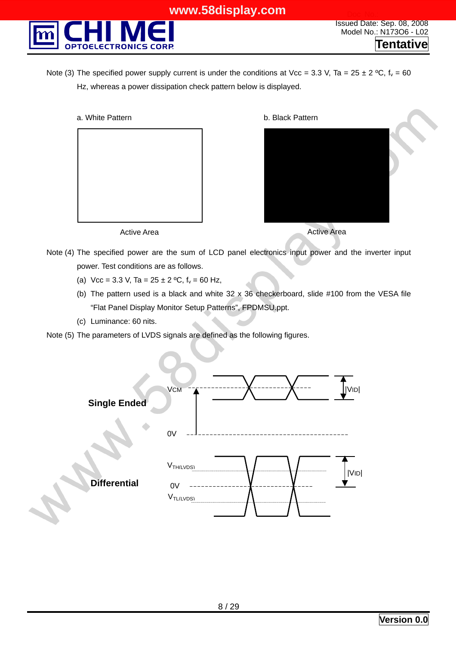

Note (3) The specified power supply current is under the conditions at Vcc = 3.3 V, Ta = 25  $\pm$  2 °C, f<sub>v</sub> = 60 Hz, whereas a power dissipation check pattern below is displayed.

a. White Pattern





Active Area

Active Area

- Note (4) The specified power are the sum of LCD panel electronics input power and the inverter input power. Test conditions are as follows.
	- (a)  $Vec = 3.3 V$ , Ta =  $25 \pm 2 {}^{\circ}C$ ,  $f_v = 60 Hz$ ,
	- (b) The pattern used is a black and white  $32 \times 36$  checkerboard, slide #100 from the VESA file "Flat Panel Display Monitor Setup Patterns", FPDMSU.ppt.
	- (c) Luminance: 60 nits.

Note (5) The parameters of LVDS signals are defined as the following figures.

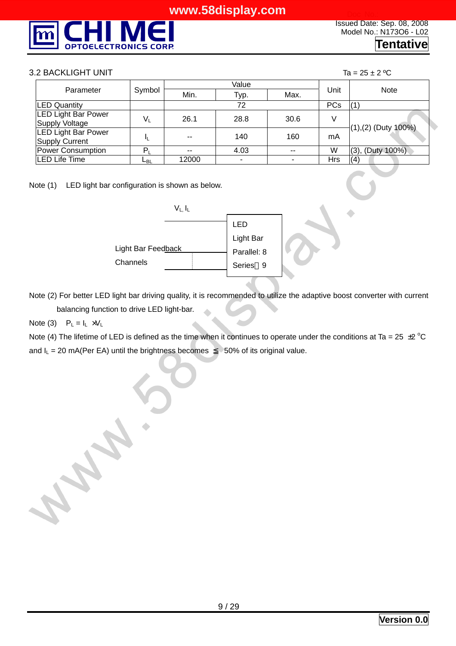

#### 3.2 BACKLIGHT UNIT  $\begin{array}{ccc} 3.2 & \text{BACKLIGHT} \end{array}$

|                                                     |        |               | Value                    |       |            |                        |
|-----------------------------------------------------|--------|---------------|--------------------------|-------|------------|------------------------|
| Parameter                                           | Symbol | Min.          | Max.<br>Typ.             |       | Unit       | <b>Note</b>            |
| <b>LED Quantity</b>                                 |        |               | 72                       |       | <b>PCs</b> | (1)                    |
| <b>LED Light Bar Power</b><br>Supply Voltage        | V,     | 26.1          | 28.8                     | 30.6  | V          |                        |
| <b>LED Light Bar Power</b><br><b>Supply Current</b> |        | $\sim$ $\sim$ | 140                      | 160   | mA         | $(1), (2)$ (Duty 100%) |
| <b>Power Consumption</b>                            | P,     | $\sim$ $\sim$ | 4.03                     | $- -$ | W          | $(3)$ , (Duty 100%)    |
| LED Life Time                                       | டв∟    | 12000         | $\overline{\phantom{a}}$ |       | Hrs        | (4)                    |

Note (1) LED light bar configuration is shown as below.



Note (2) For better LED light bar driving quality, it is recommended to utilize the adaptive boost converter with current balancing function to drive LED light-bar.

#### Note (3)  $P_L = I_L \times V_L$

Note (4) The lifetime of LED is defined as the time when it continues to operate under the conditions at Ta = 25  $\pm$ 2 °C and  $I_L = 20 \text{ mA}$ (Per EA) until the brightness becomes 50% of its original value.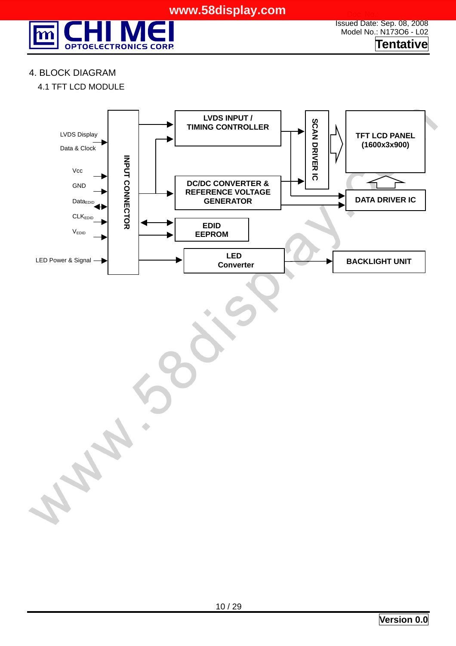

Issued Date: Sep. 08, 2008 Model No.: N173O6 - L02 **Tentative**

#### 4. BLOCK DIAGRAM

4.1 TFT LCD MODULE

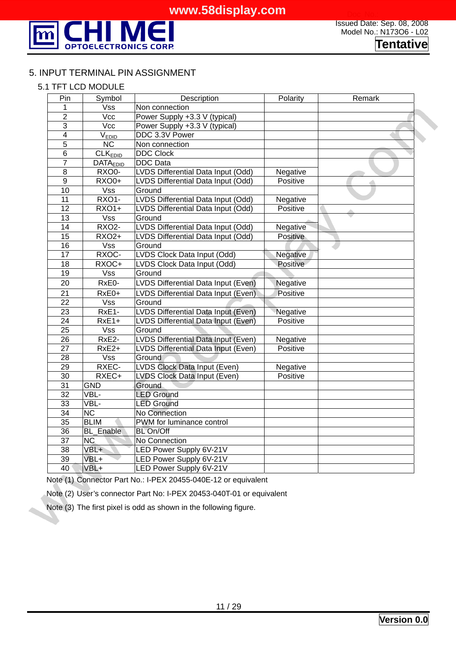

#### 5. INPUT TERMINAL PIN ASSIGNMENT

#### 5.1 TFT LCD MODULE

| $\overline{Pin}$        | Symbol                     | Description                         | Polarity | Remark |
|-------------------------|----------------------------|-------------------------------------|----------|--------|
| 1                       | Vss                        | Non connection                      |          |        |
| $\overline{2}$          | Vcc                        | Power Supply +3.3 V (typical)       |          |        |
| $\overline{3}$          | $\overline{\text{Vcc}}$    | Power Supply +3.3 V (typical)       |          |        |
| $\overline{\mathbf{4}}$ | V <sub>EDID</sub>          | DDC 3.3V Power                      |          |        |
| $\overline{5}$          | $\overline{\text{NC}}$     | Non connection                      |          |        |
| $\overline{6}$          | <b>CLK</b> <sub>EDID</sub> | <b>DDC Clock</b>                    |          |        |
| 7                       | <b>DATAEDID</b>            | <b>DDC</b> Data                     |          |        |
| $\overline{8}$          | RXO0-                      | LVDS Differential Data Input (Odd)  | Negative |        |
| $\overline{9}$          | <b>RXO0+</b>               | LVDS Differential Data Input (Odd)  | Positive |        |
| 10                      | $\overline{\text{Vss}}$    | Ground                              |          |        |
| $\overline{11}$         | <b>RXO1-</b>               | LVDS Differential Data Input (Odd)  | Negative |        |
| $\overline{12}$         | $RXO1+$                    | LVDS Differential Data Input (Odd)  | Positive |        |
| $\overline{13}$         | Vss                        | Ground                              |          |        |
| $\overline{14}$         | <b>RXO2-</b>               | LVDS Differential Data Input (Odd)  | Negative |        |
| $\overline{15}$         | <b>RXO2+</b>               | LVDS Differential Data Input (Odd)  | Positive |        |
| 16                      | <b>Vss</b>                 | Ground                              |          |        |
| 17                      | RXOC-                      | LVDS Clock Data Input (Odd)         | Negative |        |
| $\overline{18}$         | RXOC+                      | LVDS Clock Data Input (Odd)         | Positive |        |
| $\overline{19}$         | $\overline{\mathsf{Vss}}$  | Ground                              |          |        |
| 20                      | RxE0-                      | LVDS Differential Data Input (Even) | Negative |        |
| $\overline{21}$         | $RxE0+$                    | LVDS Differential Data Input (Even) | Positive |        |
| $\overline{22}$         | $\overline{\text{Vss}}$    | Ground                              |          |        |
| $\overline{23}$         | RxE1-                      | LVDS Differential Data Input (Even) | Negative |        |
| 24                      | $RxE1+$                    | LVDS Differential Data Input (Even) | Positive |        |
| $\overline{25}$         | $\overline{\mathsf{V}}$ ss | Ground                              |          |        |
| $\overline{26}$         | RxE2-                      | LVDS Differential Data Input (Even) | Negative |        |
| 27                      | RxE2+                      | LVDS Differential Data Input (Even) | Positive |        |
| $\overline{28}$         | $\overline{\text{Vss}}$    | Ground                              |          |        |
| 29                      | RXEC-                      | LVDS Clock Data Input (Even)        | Negative |        |
| 30                      | RXEC+                      | <b>LVDS Clock Data Input (Even)</b> | Positive |        |
| 31                      | <b>GND</b>                 | Ground                              |          |        |
| $\overline{32}$         | VBL-                       | <b>LED Ground</b>                   |          |        |
| 33                      | VBL-                       | <b>LED Ground</b>                   |          |        |
| $\overline{34}$         | $\overline{\text{NC}}$     | No Connection                       |          |        |
| 35                      | <b>BLIM</b>                | PWM for luminance control           |          |        |
| 36                      | Enable<br>BL               | <b>BL On/Off</b>                    |          |        |
| $\overline{37}$         | $\overline{\text{NC}}$     | No Connection                       |          |        |
| $\overline{38}$         | VBL+                       | <b>LED Power Supply 6V-21V</b>      |          |        |
| 39                      | VBL+                       | LED Power Supply 6V-21V             |          |        |
| $\overline{40}$         | VBL+                       | LED Power Supply 6V-21V             |          |        |

Note (1) Connector Part No.: I-PEX 20455-040E-12 or equivalent

Note (2) User's connector Part No: I-PEX 20453-040T-01 or equivalent

Note (3) The first pixel is odd as shown in the following figure.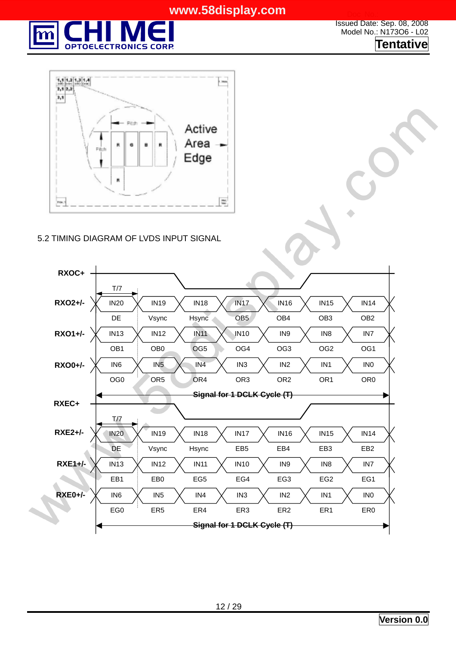

Issued Date: Sep. 08, 2008 Model No.: N173O6 - L02 **Tentative**



#### 5.2 TIMING DIAGRAM OF LVDS INPUT SIGNAL

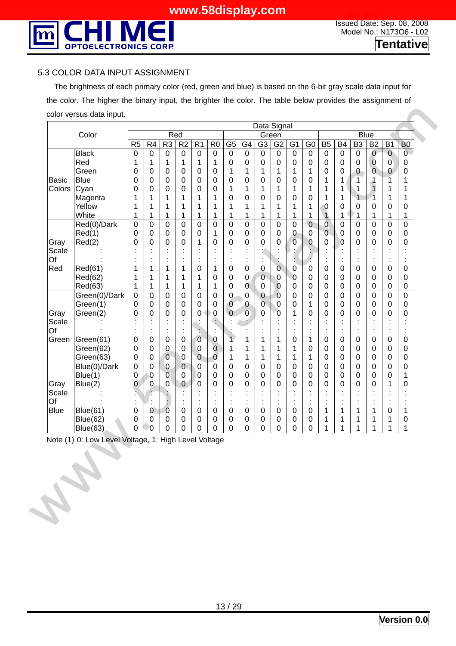

#### 5.3 COLOR DATA INPUT ASSIGNMENT

 The brightness of each primary color (red, green and blue) is based on the 6-bit gray scale data input for the color. The higher the binary input, the brighter the color. The table below provides the assignment of color versus data input.

|              |                 |                 |                 |                |                 |                 |                |                 |                 | Data Signal     |                |                |                  |                 |                  |                 |                 |                 |                |
|--------------|-----------------|-----------------|-----------------|----------------|-----------------|-----------------|----------------|-----------------|-----------------|-----------------|----------------|----------------|------------------|-----------------|------------------|-----------------|-----------------|-----------------|----------------|
|              | Color           |                 |                 |                | Red             |                 |                |                 |                 |                 | Green          |                |                  |                 |                  |                 | <b>Blue</b>     |                 |                |
|              |                 | $\overline{R5}$ | $\overline{R4}$ | R <sub>3</sub> | $\overline{R2}$ | $\overline{R1}$ | $\overline{R}$ | $\overline{G5}$ | $\overline{G4}$ | $\overline{G3}$ | G2             | $\overline{G}$ | $\overline{G}$   | $\overline{B5}$ | $\overline{B4}$  | $\overline{B3}$ | $\overline{B2}$ | $\overline{B1}$ | B <sub>0</sub> |
|              | <b>Black</b>    | $\mathbf 0$     | $\mathbf 0$     | $\mathbf 0$    | $\mathbf 0$     | $\mathbf 0$     | $\mathbf 0$    | $\mathbf 0$     | $\mathbf 0$     | 0               | 0              | $\overline{0}$ | $\boldsymbol{0}$ | $\mathbf 0$     | $\boldsymbol{0}$ | $\mathbf 0$     | $\mathbf 0$     | $\overline{0}$  | $\overline{O}$ |
|              | Red             | 1               | 1               | 1              | 1               | 1               | 1              | 0               | 0               | 0               | $\mathbf 0$    | $\mathbf 0$    | $\mathbf 0$      | $\mathbf 0$     | $\mathbf 0$      | $\mathbf 0$     | $\bf{0}$        | $\overline{0}$  | 0              |
|              | Green           | 0               | 0               | 0              | $\mathbf 0$     | $\overline{0}$  | 0              | 1               | 1               | 1               | 1              | 1              | 1                | $\overline{0}$  | 0                | $\overline{0}$  | $\overline{0}$  | 0               | 0              |
| <b>Basic</b> | <b>Blue</b>     | 0               | 0               | 0              | $\overline{0}$  | $\mathbf 0$     | 0              | 0               | 0               | 0               | 0              | 0              | 0                | 1               | 1                | 1               | 1               | 1               |                |
| Colors       | Cyan            | 0               | 0               | 0              | $\overline{0}$  | 0               | 0              | 1               | 1               | 1               | 1              | 1              | 1                | 1               | 1                | 1               | $\overline{1}$  |                 |                |
|              | Magenta         | 1               |                 | 1              | 1               | 1               | 1              | 0               | 0               | 0               | 0              | 0              | 0                |                 | 1                | $\overline{1}$  | 1               | 1               |                |
|              | Yellow          | 1               | 1               | 1              | 1               | 1               | 1              | 1               | 1               | 1               | 1              | 1              | 1                | 0               | 0                | 0               | 0               | 0               | 0              |
|              | White           | 1               | 1               | 1              | 1               | 1               | 1              | 1               | 1               | 1               | 1              | 1              | 1                | $\mathbf{1}$    | 1                | 1               | 1               | 1               |                |
|              | Red(0)/Dark     | $\overline{0}$  | $\overline{0}$  | $\overline{0}$ | $\overline{0}$  | $\overline{0}$  | $\overline{0}$ | $\overline{0}$  | $\overline{0}$  | $\overline{0}$  | $\overline{0}$ | $\overline{0}$ | $\overline{0}$   | $\overline{0}$  | $\mathbf 0$      | $\overline{0}$  | $\overline{0}$  | $\overline{0}$  | $\overline{0}$ |
|              | Red(1)          | 0               | $\overline{0}$  | 0              | $\mathbf 0$     | $\overline{0}$  | 1              | 0               | $\mathbf 0$     | 0               | $\overline{0}$ | $\mathbf 0$    | $\mathbf 0$      | $\overline{0}$  | $\mathbf 0$      | $\overline{0}$  | 0               | $\mathbf 0$     | 0              |
| Gray         | Red(2)          | 0               | 0               | 0              | $\overline{0}$  | 1               | 0              | 0               | 0               | 0               | 0              | $\overline{0}$ | 0                | $\Omega$        | 0                | 0               | 0               | $\overline{0}$  | 0              |
| Scale        |                 |                 |                 |                |                 |                 |                |                 |                 | ť.              |                |                |                  |                 |                  |                 |                 |                 |                |
| Of<br>Red    |                 |                 |                 |                |                 |                 |                |                 |                 | t               |                | t              |                  |                 |                  |                 |                 |                 |                |
|              | Red(61)         | 1               |                 | 1              |                 | 0               | 1              | 0               | 0               | $\overline{0}$  | $\overline{0}$ | 0              | 0                | 0               | 0                | 0               | 0               | 0               | 0              |
|              | Red(62)         | 1               | 1               | 1              | 1               | 1               | 0              | 0               | 0               | 0               | 0              | $\overline{0}$ | 0                | 0               | 0                | 0               | 0               | 0               | 0              |
|              | Red(63)         | 1               | 1               | 1              | 1               | 1               | 1              | 0               | 0               | $\mathbf 0$     | $\mathbf 0$    | $\mathbf 0$    | 0                | $\mathbf 0$     | 0                | 0               | 0               | $\mathbf 0$     | 0              |
|              | Green(0)/Dark   | 0               | 0               | $\overline{0}$ | $\overline{0}$  | $\overline{0}$  | $\overline{0}$ | $\overline{0}$  | $\overline{0}$  | $\overline{0}$  | $\overline{0}$ | 0              | 0                | $\overline{0}$  | $\overline{0}$   | $\overline{0}$  | $\overline{0}$  | $\overline{0}$  | $\overline{0}$ |
|              | Green(1)        | 0               | $\overline{0}$  | $\mathbf 0$    | $\overline{0}$  | $\overline{0}$  | 0              | $\overline{0}$  | $\theta$        | $\overline{0}$  | $\overline{0}$ | 0              | 1                | $\mathbf 0$     | 0                | 0               | $\overline{0}$  | $\overline{0}$  | 0              |
| Gray         | Green(2)        | 0               | 0               | 0              | $\overline{0}$  | 0               | $\mathbf 0$    | $\overline{0}$  | $\overline{0}$  | $\mathbf 0$     | 0              | 1              | 0                | 0               | 0                | 0               | 0               | $\overline{0}$  | 0              |
| Scale        |                 |                 |                 |                |                 |                 | ŧ              |                 |                 |                 |                |                |                  |                 |                  |                 |                 |                 |                |
| Of           |                 |                 |                 |                |                 |                 |                |                 |                 |                 |                |                |                  |                 |                  |                 |                 |                 |                |
| Green        | Green(61)       | 0               | 0               | 0              | 0               | 0               | 0              | $\overline{1}$  |                 | 1               | 1              | 0              | 1                | 0               | 0                | 0               | 0               | 0               | 0              |
|              | Green(62)       | 0               | 0               | 0              | $\mathbf 0$     | 0               | $\overline{0}$ | 1               |                 |                 | 1              | 1              | 0                | 0               | 0                | 0               | 0               | $\overline{0}$  | 0              |
|              | Green(63)       | 0               | 0               | $\overline{0}$ | $\overline{0}$  | $\overline{0}$  | $\overline{0}$ | 1               | 1               | 1               | 1              | 1              | 1                | $\mathbf 0$     | $\mathbf 0$      | 0               | 0               | 0               | 0              |
|              | Blue(0)/Dark    | $\overline{0}$  | 0               | $\overline{0}$ | $\overline{0}$  | $\overline{0}$  | $\mathbf 0$    | 0               | 0               | 0               | 0              | 0              | $\mathbf 0$      | $\overline{0}$  | $\overline{0}$   | $\overline{0}$  | 0               | $\overline{0}$  | 0              |
|              | Blue(1)         | 0               | 0               | $\overline{0}$ | 0               | 0               | 0              | 0               | $\mathbf 0$     | 0               | 0              | 0              | 0                | $\overline{0}$  | 0                | 0               | 0               | 0               |                |
| Gray         | Blue(2)         | 0               | 0               | 0              | 0               | $\overline{0}$  | 0              | 0               | 0               | 0               | 0              | 0              | 0                | 0               | 0                | 0               | 0               | 1               | 0              |
| Scale        |                 |                 |                 |                |                 |                 |                |                 |                 |                 |                |                |                  |                 |                  |                 |                 |                 |                |
| Of           |                 |                 |                 | $\vdots$       |                 |                 |                |                 |                 | ٠               |                | ×,             |                  |                 |                  |                 |                 |                 |                |
| <b>Blue</b>  | <b>Blue(61)</b> | 0               | 0               | 0              | 0               | 0               | 0              | 0               | 0               | 0               | 0              | 0              | 0                |                 | 1                | 1               | 1               | 0               |                |
|              | <b>Blue(62)</b> | 0               | 0               | 0              | 0               | 0               | 0              | 0               | 0               | 0               | 0              | 0              | 0                |                 | 1                | 1               | 1               | 1               | 0              |
|              | Blue(63)        | 0               | 0               | 0              | 0               | 0               | 0              | 0               | 0               | 0               | 0              | 0              | 0                |                 | 1                | 1               | 1               |                 |                |

Note (1) 0: Low Level Voltage, 1: High Level Voltage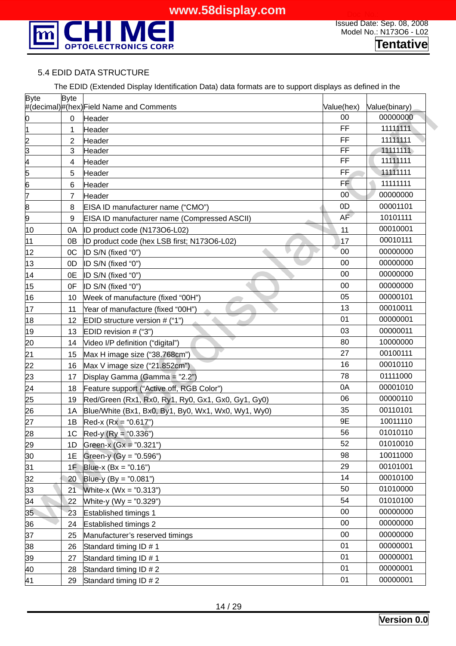

#### 5.4 EDID DATA STRUCTURE

|  |  | The EDID (Extended Display Identification Data) data formats are to support displays as defined in the |  |
|--|--|--------------------------------------------------------------------------------------------------------|--|
|  |  |                                                                                                        |  |

| #(decimal)#(hex)Field Name and Comments<br>Value(hex)<br>Value(binary)<br>00<br>Header<br>0<br>0<br>FF<br>1<br>1<br>Header<br>FF<br><u>N m</u><br>2<br>Header<br>FF<br>3<br>Header<br>FF<br>$\frac{4}{5}$<br>4<br>Header<br>FF<br>5<br>Header<br>$\overline{6}$<br><b>FF</b><br>6<br>Header<br>$\overline{7}$<br>00 <sup>7</sup><br>Header<br>7<br>0 <sub>D</sub><br>$\bf{8}$<br>8<br>EISA ID manufacturer name ("CMO")<br>9<br><b>AF</b><br>9<br>EISA ID manufacturer name (Compressed ASCII)<br>ID product code (N173O6-L02)<br>11<br>10<br>0A<br>11<br>0B<br>ID product code (hex LSB first; N173O6-L02)<br>17 | 00000000<br>11111111<br>11111111<br>11111111<br>11111111<br>11111111<br>11111111<br>00000000<br>00001101<br>10101111<br>00010001 |
|-------------------------------------------------------------------------------------------------------------------------------------------------------------------------------------------------------------------------------------------------------------------------------------------------------------------------------------------------------------------------------------------------------------------------------------------------------------------------------------------------------------------------------------------------------------------------------------------------------------------|----------------------------------------------------------------------------------------------------------------------------------|
|                                                                                                                                                                                                                                                                                                                                                                                                                                                                                                                                                                                                                   |                                                                                                                                  |
|                                                                                                                                                                                                                                                                                                                                                                                                                                                                                                                                                                                                                   |                                                                                                                                  |
|                                                                                                                                                                                                                                                                                                                                                                                                                                                                                                                                                                                                                   |                                                                                                                                  |
|                                                                                                                                                                                                                                                                                                                                                                                                                                                                                                                                                                                                                   |                                                                                                                                  |
|                                                                                                                                                                                                                                                                                                                                                                                                                                                                                                                                                                                                                   |                                                                                                                                  |
|                                                                                                                                                                                                                                                                                                                                                                                                                                                                                                                                                                                                                   |                                                                                                                                  |
|                                                                                                                                                                                                                                                                                                                                                                                                                                                                                                                                                                                                                   |                                                                                                                                  |
|                                                                                                                                                                                                                                                                                                                                                                                                                                                                                                                                                                                                                   |                                                                                                                                  |
|                                                                                                                                                                                                                                                                                                                                                                                                                                                                                                                                                                                                                   |                                                                                                                                  |
|                                                                                                                                                                                                                                                                                                                                                                                                                                                                                                                                                                                                                   |                                                                                                                                  |
|                                                                                                                                                                                                                                                                                                                                                                                                                                                                                                                                                                                                                   |                                                                                                                                  |
|                                                                                                                                                                                                                                                                                                                                                                                                                                                                                                                                                                                                                   | 00010111                                                                                                                         |
| 00<br>12<br>OC<br>ID S/N (fixed "0")                                                                                                                                                                                                                                                                                                                                                                                                                                                                                                                                                                              | 00000000                                                                                                                         |
| 00<br>13<br>0D<br>ID S/N (fixed "0")                                                                                                                                                                                                                                                                                                                                                                                                                                                                                                                                                                              | 00000000                                                                                                                         |
| 00<br>14<br>0E<br>ID S/N (fixed "0")                                                                                                                                                                                                                                                                                                                                                                                                                                                                                                                                                                              | 00000000                                                                                                                         |
| 00<br>15<br>0F<br>ID S/N (fixed "0")                                                                                                                                                                                                                                                                                                                                                                                                                                                                                                                                                                              | 00000000                                                                                                                         |
| 05<br>16<br>Week of manufacture (fixed "00H")<br>10                                                                                                                                                                                                                                                                                                                                                                                                                                                                                                                                                               | 00000101                                                                                                                         |
| 13<br>17<br>11<br>Year of manufacture (fixed "00H")                                                                                                                                                                                                                                                                                                                                                                                                                                                                                                                                                               | 00010011                                                                                                                         |
| 01<br>18<br>EDID structure version # ("1")<br>12                                                                                                                                                                                                                                                                                                                                                                                                                                                                                                                                                                  | 00000001                                                                                                                         |
| 03<br>19<br>EDID revision # ("3")<br>13                                                                                                                                                                                                                                                                                                                                                                                                                                                                                                                                                                           | 00000011                                                                                                                         |
| 80<br>$\overline{20}$<br>Video I/P definition ("digital")<br>14                                                                                                                                                                                                                                                                                                                                                                                                                                                                                                                                                   | 10000000                                                                                                                         |
| $\overline{21}$<br>27<br>15<br>Max H image size ("38.768cm")                                                                                                                                                                                                                                                                                                                                                                                                                                                                                                                                                      | 00100111                                                                                                                         |
| $\overline{22}$<br>16<br>Max V image size ("21.852cm")<br>16                                                                                                                                                                                                                                                                                                                                                                                                                                                                                                                                                      | 00010110                                                                                                                         |
| 23<br>78<br>Display Gamma (Gamma = "2.2")<br>17                                                                                                                                                                                                                                                                                                                                                                                                                                                                                                                                                                   | 01111000                                                                                                                         |
| 24<br>0A<br>Feature support ("Active off, RGB Color")<br>18                                                                                                                                                                                                                                                                                                                                                                                                                                                                                                                                                       | 00001010                                                                                                                         |
| 06<br>25<br>19<br>Red/Green (Rx1, Rx0, Ry1, Ry0, Gx1, Gx0, Gy1, Gy0)                                                                                                                                                                                                                                                                                                                                                                                                                                                                                                                                              | 00000110                                                                                                                         |
| 35<br>26<br>1A<br>Blue/White (Bx1, Bx0, By1, By0, Wx1, Wx0, Wy1, Wy0)                                                                                                                                                                                                                                                                                                                                                                                                                                                                                                                                             | 00110101                                                                                                                         |
| 9E<br>27<br>Red-x $(Rx = "0.617")$<br>1B                                                                                                                                                                                                                                                                                                                                                                                                                                                                                                                                                                          | 10011110                                                                                                                         |
| 56<br>28<br>1 <sup>C</sup><br>Red-y $(Ry = "0.336")$                                                                                                                                                                                                                                                                                                                                                                                                                                                                                                                                                              | 01010110                                                                                                                         |
| 52<br>29<br>1D<br>Green-x $(Gx = "0.321")$                                                                                                                                                                                                                                                                                                                                                                                                                                                                                                                                                                        | 01010010                                                                                                                         |
| 98<br>30<br>1E<br>Green-y (Gy = "0.596")                                                                                                                                                                                                                                                                                                                                                                                                                                                                                                                                                                          | 10011000                                                                                                                         |
| 31<br>29<br>1F<br>Blue-x $(Bx = "0.16")$                                                                                                                                                                                                                                                                                                                                                                                                                                                                                                                                                                          | 00101001                                                                                                                         |
| 14<br>32<br>Blue-y $(by = "0.081")$<br>20                                                                                                                                                                                                                                                                                                                                                                                                                                                                                                                                                                         | 00010100                                                                                                                         |
| 33<br>50<br>White-x $(Wx = "0.313")$<br>21                                                                                                                                                                                                                                                                                                                                                                                                                                                                                                                                                                        | 01010000                                                                                                                         |
| 54<br>34<br>White-y (Wy = "0.329")<br>22                                                                                                                                                                                                                                                                                                                                                                                                                                                                                                                                                                          | 01010100                                                                                                                         |
| 35<br>$00\,$<br>23<br>Established timings 1                                                                                                                                                                                                                                                                                                                                                                                                                                                                                                                                                                       | 00000000                                                                                                                         |
| 00<br>36<br><b>Established timings 2</b><br>24                                                                                                                                                                                                                                                                                                                                                                                                                                                                                                                                                                    | 00000000                                                                                                                         |
| 37<br>$00\,$<br>Manufacturer's reserved timings<br>25                                                                                                                                                                                                                                                                                                                                                                                                                                                                                                                                                             | 00000000                                                                                                                         |
| 01<br>38<br>Standard timing ID # 1<br>26                                                                                                                                                                                                                                                                                                                                                                                                                                                                                                                                                                          | 00000001                                                                                                                         |
| 01<br>39<br>Standard timing ID # 1<br>27                                                                                                                                                                                                                                                                                                                                                                                                                                                                                                                                                                          | 00000001                                                                                                                         |
| 01<br>40<br>Standard timing ID # 2<br>28                                                                                                                                                                                                                                                                                                                                                                                                                                                                                                                                                                          | 00000001                                                                                                                         |
| 00000001<br>01<br>41<br>Standard timing ID # 2<br>29                                                                                                                                                                                                                                                                                                                                                                                                                                                                                                                                                              |                                                                                                                                  |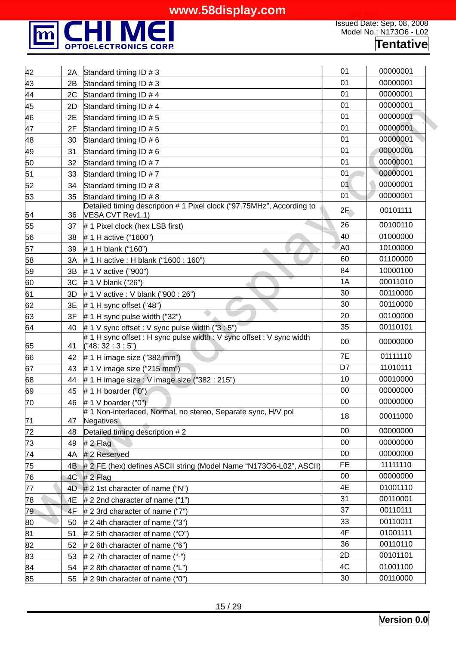

| 42              | 2A | Standard timing ID # 3                                                                    | 01             | 00000001 |  |
|-----------------|----|-------------------------------------------------------------------------------------------|----------------|----------|--|
| 43              | 2B | Standard timing ID # 3                                                                    | 01             | 00000001 |  |
| 44              | 2C | Standard timing ID # 4                                                                    | 01             | 00000001 |  |
| 45              | 2D | Standard timing ID # 4                                                                    | 01             | 00000001 |  |
| 46              | 2E | Standard timing ID # 5                                                                    | 01             | 00000001 |  |
| 47              | 2F | Standard timing ID # 5                                                                    | 01             | 00000001 |  |
| 48              | 30 | Standard timing ID # 6                                                                    | 01             | 00000001 |  |
| 49              | 31 | Standard timing ID # 6                                                                    | 01             | 00000001 |  |
| 50              | 32 | Standard timing ID #7                                                                     | 01             | 00000001 |  |
| 51              | 33 | Standard timing ID #7                                                                     | 01             | 00000001 |  |
| 52              | 34 | Standard timing ID # 8                                                                    | 01             | 00000001 |  |
| 53              | 35 | Standard timing ID # 8                                                                    | 01             | 00000001 |  |
| 54              | 36 | Detailed timing description # 1 Pixel clock ("97.75MHz", According to<br>VESA CVT Rev1.1) | 2F             | 00101111 |  |
| 55              | 37 | # 1 Pixel clock (hex LSB first)                                                           | 26             | 00100110 |  |
| 56              | 38 | #1 H active ("1600")                                                                      | 40             | 01000000 |  |
| 57              | 39 | #1 H blank ("160")                                                                        | A <sub>0</sub> | 10100000 |  |
| 58              | 3A | # 1 H active : H blank ("1600 : 160")                                                     | 60             | 01100000 |  |
| 59              | 3B | # 1 V active ("900")                                                                      | 84             | 10000100 |  |
| 60              | 3C | # 1 V blank ("26")                                                                        | 1A             | 00011010 |  |
| 61              | 3D | # 1 V active : V blank ("900 : 26")                                                       | 30             | 00110000 |  |
| 62              | 3E | # 1 H sync offset $("48")$                                                                | 30             | 00110000 |  |
| 63              | 3F | $# 1 H$ sync pulse width ("32")                                                           | 20             | 00100000 |  |
| 64              | 40 | #1 V sync offset : V sync pulse width ("3 : 5")                                           | 35             | 00110101 |  |
| 65              | 41 | # 1 H sync offset : H sync pulse width : V sync offset : V sync width<br>("48:32:3:5")    | 00             | 00000000 |  |
| 66              | 42 | $# 1 H$ image size ("382 mm")                                                             | 7E             | 01111110 |  |
| 67              | 43 | # 1 V image size ( $"215$ mm")                                                            | D7             | 11010111 |  |
| 68              | 44 | # 1 H image size : V image size ("382 : 215")                                             | 10             | 00010000 |  |
| 69              | 45 | # 1 H boarder $("0")$                                                                     | 00             | 00000000 |  |
| 70              | 46 | # 1 V boarder ("0")                                                                       | 00             | 00000000 |  |
| 71              | 47 | #1 Non-interlaced, Normal, no stereo, Separate sync, H/V pol<br>Negatives                 | 18             | 00011000 |  |
| 72              | 48 | Detailed timing description #2                                                            | 00             | 00000000 |  |
| $\overline{73}$ | 49 | # 2 Flag                                                                                  | 00             | 00000000 |  |
| 74              | 4A | # 2 Reserved                                                                              | 00             | 00000000 |  |
| 75              | 4Β | # 2 FE (hex) defines ASCII string (Model Name "N173O6-L02", ASCII)                        | <b>FE</b>      | 11111110 |  |
| 76              | 4C | $# 2$ Flag                                                                                | 00             | 00000000 |  |
| 77              | 4D | $# 2 1$ st character of name ("N")                                                        | 4E             | 01001110 |  |
| 78              | 4E | $# 2$ 2nd character of name ("1")                                                         | 31             | 00110001 |  |
| 79.             | 4F | # 2 3rd character of name $("7")$                                                         | 37             | 00110111 |  |
| 80              | 50 | $# 2$ 4th character of name ("3")                                                         | 33             | 00110011 |  |
| <u>81</u>       | 51 | # 2 5th character of name ("O")                                                           | 4F             | 01001111 |  |
| 82              | 52 | # 2 6th character of name ("6")                                                           | 36             | 00110110 |  |
| <u>83</u>       | 53 | $# 2$ 7th character of name ("-")                                                         | 2D             | 00101101 |  |
| 84              | 54 | # 2 8th character of name ("L")                                                           | 4C             | 01001100 |  |
|                 |    |                                                                                           | 30             | 00110000 |  |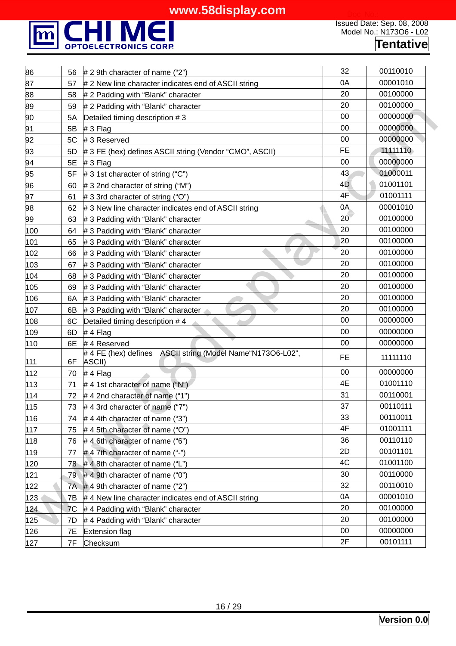

| 86    | 56 | $# 2 9$ th character of name ("2")                                   | 32        | 00110010 |
|-------|----|----------------------------------------------------------------------|-----------|----------|
| 87    | 57 | # 2 New line character indicates end of ASCII string                 | 0A        | 00001010 |
| 88    | 58 | # 2 Padding with "Blank" character                                   | 20        | 00100000 |
| 89    | 59 | # 2 Padding with "Blank" character                                   | 20        | 00100000 |
| 90    | 5A | Detailed timing description #3                                       | 00        | 00000000 |
| 91    | 5B | $# 3$ Flag                                                           | 00        | 00000000 |
| 92    | 5C | #3 Reserved                                                          | 00        | 00000000 |
| 93    | 5D | # 3 FE (hex) defines ASCII string (Vendor "CMO", ASCII)              | <b>FE</b> | 11111110 |
| 94    | 5E | $# 3$ Flag                                                           | 00        | 00000000 |
| 95    | 5F | # 3 1st character of string ("C")                                    | 43        | 01000011 |
| 96    | 60 | # 3 2nd character of string ("M")                                    | 4D        | 01001101 |
| 97    | 61 | # 3 3rd character of string ("O")                                    | 4F        | 01001111 |
| 98    | 62 | # 3 New line character indicates end of ASCII string                 | 0A        | 00001010 |
| 99    | 63 | # 3 Padding with "Blank" character                                   | 20        | 00100000 |
| 100   | 64 | # 3 Padding with "Blank" character                                   | 20        | 00100000 |
| 101   | 65 | # 3 Padding with "Blank" character                                   | 20        | 00100000 |
| 102   | 66 | # 3 Padding with "Blank" character                                   | 20        | 00100000 |
| 103   | 67 | # 3 Padding with "Blank" character                                   | 20        | 00100000 |
| 104   | 68 | # 3 Padding with "Blank" character                                   | 20        | 00100000 |
| 105   | 69 | # 3 Padding with "Blank" character                                   | 20        | 00100000 |
| 106   | 6A | # 3 Padding with "Blank" character                                   | 20        | 00100000 |
| 107   | 6B | # 3 Padding with "Blank" character                                   | 20        | 00100000 |
| 108   | 6C | Detailed timing description #4                                       | 00        | 00000000 |
| 109   | 6D | #4 Flag                                                              | 00        | 00000000 |
| 110   | 6E | #4 Reserved                                                          | 00        | 00000000 |
| 111   | 6F | #4 FE (hex) defines ASCII string (Model Name "N173O6-L02",<br>ASCII) | FE        | 11111110 |
| 112   | 70 | #4 Flag                                                              | 00        | 00000000 |
| 113   | 71 | #4 1st character of name ("N")                                       | 4E        | 01001110 |
| 114   | 72 | #42nd character of name ("1")                                        | 31        | 00110001 |
| $115$ | 73 | #4 3rd character of name ("7")                                       | 37        | 00110111 |
| 116   | 74 | $#$ 4 4th character of name ("3")                                    | 33        | 00110011 |
| 117   | 75 | #45th character of name ("O")                                        | 4F        | 01001111 |
| 118   | 76 | #4 6th character of name ("6")                                       | 36        | 00110110 |
| 119   | 77 | #47th character of name ("-")                                        | 2D        | 00101101 |
| 120   | 78 | #48th character of name ("L")                                        | 4C        | 01001100 |
| 121   | 79 | $#$ 4 9th character of name ("0")                                    | 30        | 00110000 |
| 122   | 7A | $#$ 4 9th character of name ("2")                                    | 32        | 00110010 |
| 123   | 7B | #4 New line character indicates end of ASCII string                  | 0A        | 00001010 |
| 124   | 7C | #4 Padding with "Blank" character                                    | 20        | 00100000 |
| 125   | 7D | #4 Padding with "Blank" character                                    | 20        | 00100000 |
| 126   | 7E | <b>Extension flag</b>                                                | $00\,$    | 00000000 |
| 127   | 7F | Checksum                                                             | 2F        | 00101111 |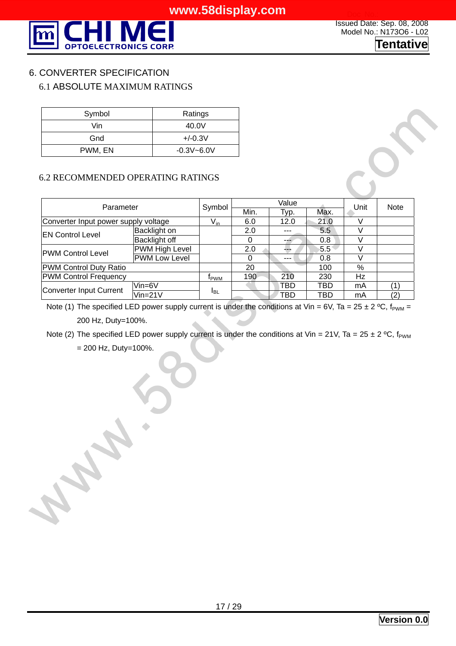

Issued Date: Sep. 08, 2008 Model No.: N173O6 - L02 **Tentative**

#### 6. CONVERTER SPECIFICATION

#### 6.1 ABSOLUTE MAXIMUM RATINGS

| Symbol  | Ratings        |
|---------|----------------|
| Vin     | 40.0V          |
| Gnd     | $+/-0.3V$      |
| PWM, EN | $-0.3V - 6.0V$ |

#### 6.2 RECOMMENDED OPERATING RATINGS

| Parameter                            | Symbol                | Value           |      |         | Unit | <b>Note</b> |     |
|--------------------------------------|-----------------------|-----------------|------|---------|------|-------------|-----|
|                                      |                       | Min.            | Typ. | Max.    |      |             |     |
| Converter Input power supply voltage | $V_{in}$              | 6.0             | 12.0 | 21.0    |      |             |     |
| <b>EN Control Level</b>              | Backlight on          |                 | 2.0  | ---     | 5.5  |             |     |
|                                      | Backlight off         |                 | 0    |         | 0.8  |             |     |
| <b>PWM Control Level</b>             | <b>PWM High Level</b> |                 | 2.0  |         | 5.5  |             |     |
|                                      | PWM Low Level         |                 | 0    | $- - -$ | 0.8  |             |     |
| <b>PWM Control Duty Ratio</b>        |                       |                 | 20   |         | 100  | %           |     |
| <b>PWM Control Frequency</b>         |                       | <b>Т</b> рwм    | 190  | 210     | 230  | Hz          |     |
| Converter Input Current              | $V$ in=6 $V$          |                 |      | TBD     | TBD  | mA          |     |
|                                      | $Vin=21V$             | <sup>1</sup> BL |      | TBD     | TBD  | mA          | (2) |

Note (1) The specified LED power supply current is under the conditions at Vin = 6V, Ta = 25 ± 2 °C,  $f_{PWM}$  = 200 Hz, Duty=100%.

Note (2) The specified LED power supply current is under the conditions at Vin = 21V, Ta = 25 ± 2 °C,  $f_{PWM}$ 

 $= 200$  Hz, Duty=100%.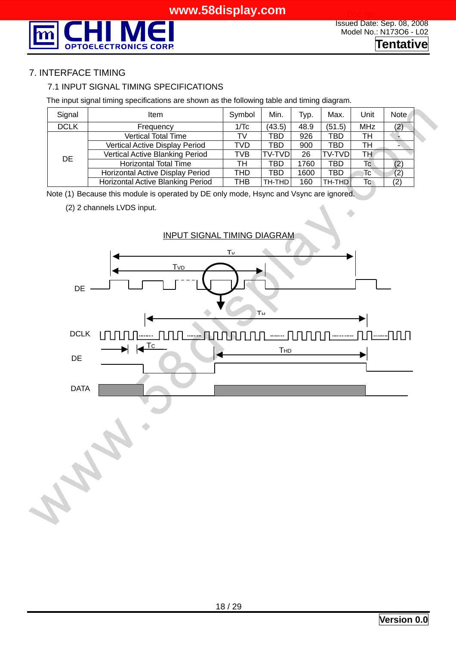

#### 7. INTERFACE TIMING

#### 7.1 INPUT SIGNAL TIMING SPECIFICATIONS

The input signal timing specifications are shown as the following table and timing diagram.

| Signal      | ltem                              | Symbol | Min.          | Typ. | Max.          | Unit        | <b>Note</b> |
|-------------|-----------------------------------|--------|---------------|------|---------------|-------------|-------------|
| <b>DCLK</b> | Frequency                         | 1/Tc   | (43.5)        | 48.9 | (51.5)        | <b>MHz</b>  | (2)         |
|             | <b>Vertical Total Time</b>        | TV     | TBD           | 926  | <b>TBD</b>    | TH          |             |
|             | Vertical Active Display Period    | TVD    | TBD           | 900  | TBD           | TH          |             |
| DE.         | Vertical Active Blanking Period   | TVB    | <b>TV-TVD</b> | 26   | <b>TV-TVD</b> | TH.         |             |
|             | <b>Horizontal Total Time</b>      | тн     | TBD           | 1760 | TBD           | $T_{\rm C}$ | (2)         |
|             | Horizontal Active Display Period  | THD    | TBD           | 1600 | TBD           | Tc          | (2)         |
|             | Horizontal Active Blanking Period | THB    | TH-THD        | 160  | TH-THD        | Tc          | (2)         |

Note (1) Because this module is operated by DE only mode, Hsync and Vsync are ignored.

(2) 2 channels LVDS input.

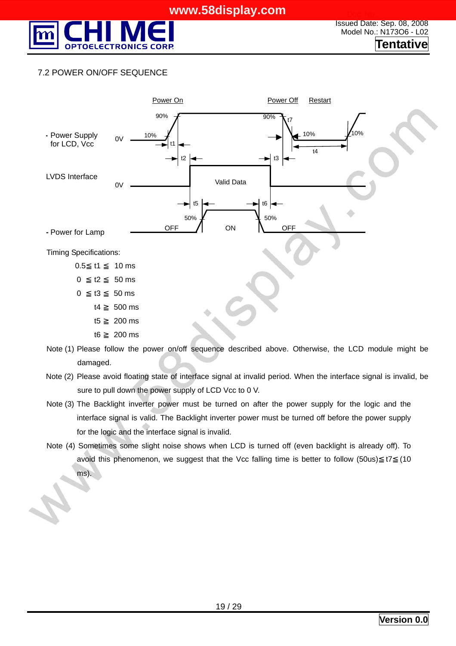

#### 7.2 POWER ON/OFF SEQUENCE



damaged.

- Note (2) Please avoid floating state of interface signal at invalid period. When the interface signal is invalid, be sure to pull down the power supply of LCD Vcc to 0 V.
- Note (3) The Backlight inverter power must be turned on after the power supply for the logic and the interface signal is valid. The Backlight inverter power must be turned off before the power supply for the logic and the interface signal is invalid.
- Note (4) Sometimes some slight noise shows when LCD is turned off (even backlight is already off). To avoid this phenomenon, we suggest that the Vcc falling time is better to follow (50us) t7 (10 ms).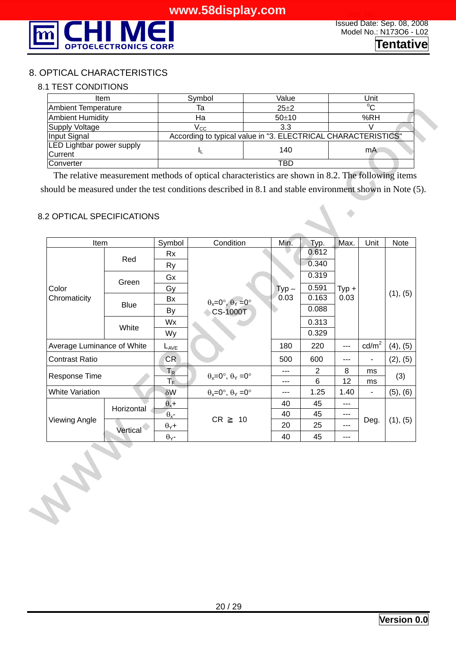

 $\hat{\phantom{a}}$ 

#### 8. OPTICAL CHARACTERISTICS

#### 8.1 TEST CONDITIONS

| Item                                               | Symbol                                                        | Value    | Unit        |  |  |
|----------------------------------------------------|---------------------------------------------------------------|----------|-------------|--|--|
| <b>Ambient Temperature</b>                         | Та                                                            | $25 + 2$ | $^{\circ}C$ |  |  |
| <b>Ambient Humidity</b>                            | Ha                                                            | 50±10    | %RH         |  |  |
| Supply Voltage                                     | $V_{\rm CC}$                                                  | 3.3      |             |  |  |
| Input Signal                                       | According to typical value in "3. ELECTRICAL CHARACTERISTICS" |          |             |  |  |
| <b>LED Lightbar power supply</b><br><b>Current</b> |                                                               | 140      | mA          |  |  |
| <b>Converter</b>                                   |                                                               | TBD      |             |  |  |

The relative measurement methods of optical characteristics are shown in 8.2. The following items should be measured under the test conditions described in 8.1 and stable environment shown in Note (5).

#### 8.2 OPTICAL SPECIFICATIONS

A REV

| Item                       |             | Symbol                  | Condition                                   | Min.     | Typ.  | Max.    | Unit            | Note     |
|----------------------------|-------------|-------------------------|---------------------------------------------|----------|-------|---------|-----------------|----------|
|                            |             | <b>Rx</b>               |                                             |          | 0.612 |         |                 |          |
|                            | Red         | <b>Ry</b>               |                                             |          | 0.340 |         |                 |          |
|                            | Green       | Gx                      |                                             |          | 0.319 |         |                 |          |
| Color                      |             | Gy                      |                                             | $Type -$ | 0.591 | $Typ +$ |                 |          |
| Chromaticity               | <b>Blue</b> | Bx                      | $\theta_x = 0^\circ$ , $\theta_y = 0^\circ$ | 0.03     | 0.163 | 0.03    |                 | (1), (5) |
|                            |             | By                      | <b>CS-1000T</b>                             |          | 0.088 |         |                 |          |
|                            | White       | Wx                      |                                             |          | 0.313 |         |                 |          |
|                            |             | Wy                      |                                             |          | 0.329 |         |                 |          |
| Average Luminance of White |             | $L_{AVE}$               |                                             | 180      | 220   | ---     | $\text{cd/m}^2$ | (4), (5) |
| <b>Contrast Ratio</b>      |             | CR                      |                                             | 500      | 600   | ---     |                 | (2), (5) |
| Response Time              |             | $T_R$                   | $\theta_x = 0^\circ$ , $\theta_y = 0^\circ$ | ---      | 2     | 8       | ms              | (3)      |
|                            |             | $\mathsf{T}_\mathsf{F}$ |                                             | ---      | 6     | 12      | ms              |          |
| <b>White Variation</b>     |             | $\delta W$              | $\theta_x = 0^\circ$ , $\theta_y = 0^\circ$ | ---      | 1.25  | 1.40    | ٠               | (5), (6) |
| Viewing Angle              | Horizontal  | $\theta_{x}$ +          |                                             | 40       | 45    | ---     |                 |          |
|                            |             | $\theta_{x}$ -          | <b>CR</b><br>10                             | 40       | 45    | ---     |                 |          |
|                            | Vertical    | $\theta$ <sub>Y</sub> + |                                             | 20       | 25    | ---     | Deg.            | (1), (5) |
|                            |             | $\theta$ <sub>Y</sub> - |                                             | 40       | 45    | ---     |                 |          |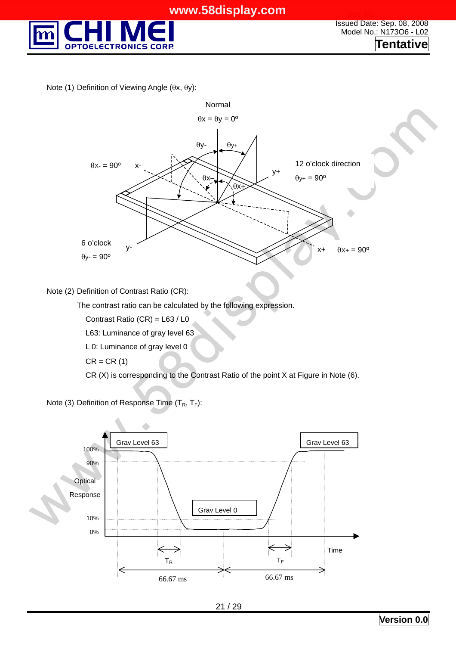

Note (1) Definition of Viewing Angle (θx, θy):



Note (2) Definition of Contrast Ratio (CR):

The contrast ratio can be calculated by the following expression.

Contrast Ratio (CR) = L63 / L0

L63: Luminance of gray level 63

L 0: Luminance of gray level 0

 $CR = CR(1)$ 

CR (X) is corresponding to the Contrast Ratio of the point X at Figure in Note (6).

Note (3) Definition of Response Time  $(T_R, T_F)$ :

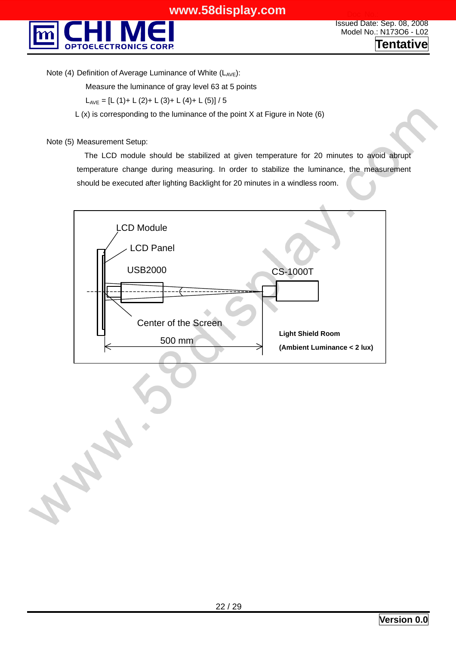

Note (4) Definition of Average Luminance of White  $(L_{AVE})$ :

Measure the luminance of gray level 63 at 5 points

 $L_{AVE} = [L (1) + L (2) + L (3) + L (4) + L (5)] / 5$ 

 $L(x)$  is corresponding to the luminance of the point X at Figure in Note (6)

Note (5) Measurement Setup:

 The LCD module should be stabilized at given temperature for 20 minutes to avoid abrupt temperature change during measuring. In order to stabilize the luminance, the measurement should be executed after lighting Backlight for 20 minutes in a windless room.

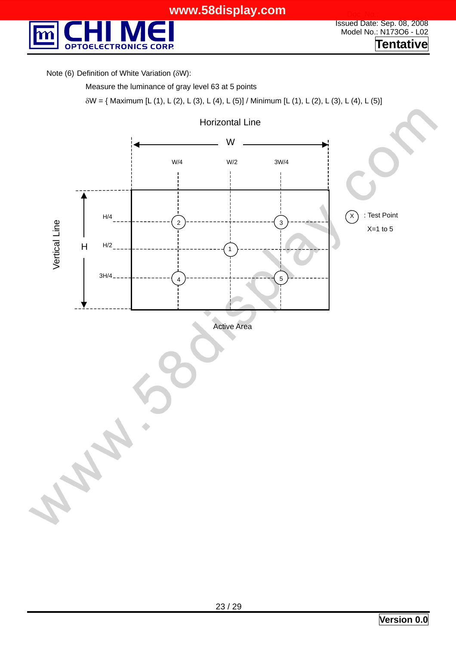

Note (6) Definition of White Variation (δW):

Measure the luminance of gray level 63 at 5 points

δW = { Maximum [L (1), L (2), L (3), L (4), L (5)] / Minimum [L (1), L (2), L (3), L (4), L (5)]

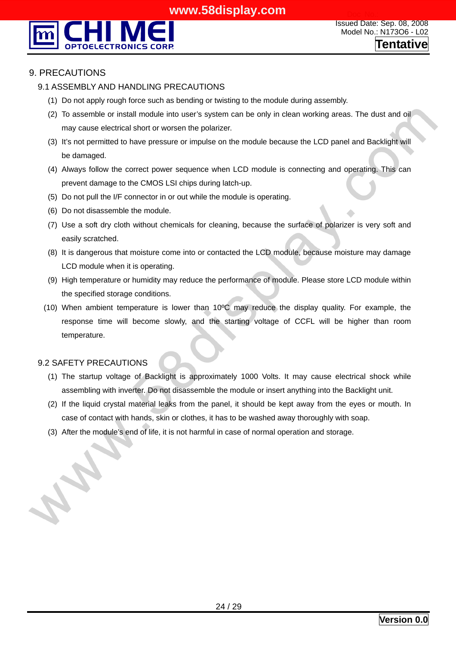

#### 9. PRECAUTIONS

#### 9.1 ASSEMBLY AND HANDLING PRECAUTIONS

- (1) Do not apply rough force such as bending or twisting to the module during assembly.
- (2) To assemble or install module into user's system can be only in clean working areas. The dust and oil may cause electrical short or worsen the polarizer.
- (3) It's not permitted to have pressure or impulse on the module because the LCD panel and Backlight will be damaged.
- (4) Always follow the correct power sequence when LCD module is connecting and operating. This can prevent damage to the CMOS LSI chips during latch-up.
- (5) Do not pull the I/F connector in or out while the module is operating.
- (6) Do not disassemble the module.
- (7) Use a soft dry cloth without chemicals for cleaning, because the surface of polarizer is very soft and easily scratched.
- (8) It is dangerous that moisture come into or contacted the LCD module, because moisture may damage LCD module when it is operating.
- (9) High temperature or humidity may reduce the performance of module. Please store LCD module within the specified storage conditions.
- (10) When ambient temperature is lower than 10ºC may reduce the display quality. For example, the response time will become slowly, and the starting voltage of CCFL will be higher than room temperature.

#### 9.2 SAFETY PRECAUTIONS

- (1) The startup voltage of Backlight is approximately 1000 Volts. It may cause electrical shock while assembling with inverter. Do not disassemble the module or insert anything into the Backlight unit.
- (2) If the liquid crystal material leaks from the panel, it should be kept away from the eyes or mouth. In case of contact with hands, skin or clothes, it has to be washed away thoroughly with soap.
- (3) After the module's end of life, it is not harmful in case of normal operation and storage.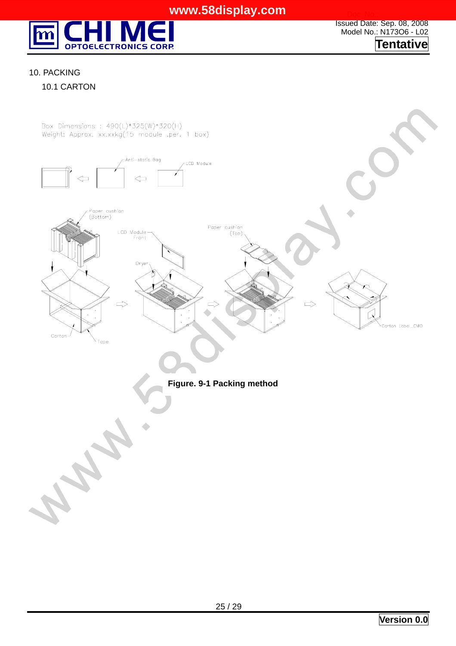

Issued Date: Sep. 08, 2008 Model No.: N173O6 - L02 **Tentative**

#### 10. PACKING

10.1 CARTON

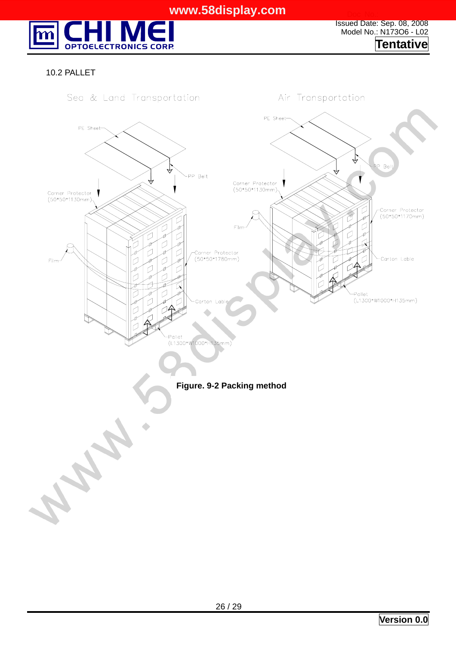

Issued Date: Sep. 08, 2008 Model No.: N173O6 - L02 **Tentative**

#### 10.2 PALLET



**Figure. 9-2 Packing method**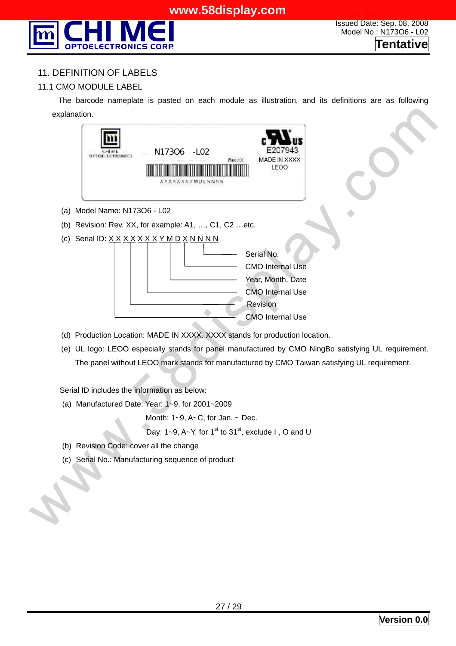

#### 11. DEFINITION OF LABELS

#### 11.1 CMO MODULE LABEL

The barcode nameplate is pasted on each module as illustration, and its definitions are as following explanation.



- (d) Production Location: MADE IN XXXX. XXXX stands for production location.
- (e) UL logo: LEOO especially stands for panel manufactured by CMO NingBo satisfying UL requirement. The panel without LEOO mark stands for manufactured by CMO Taiwan satisfying UL requirement.

Serial ID includes the information as below:

(a) Manufactured Date: Year: 1~9, for 2001~2009

Month:  $1-9$ ,  $A-C$ , for Jan.  $\sim$  Dec.

Day: 1~9, A~Y, for 1<sup>st</sup> to 31<sup>st</sup>, exclude I, O and U

- (b) Revision Code: cover all the change
- (c) Serial No.: Manufacturing sequence of product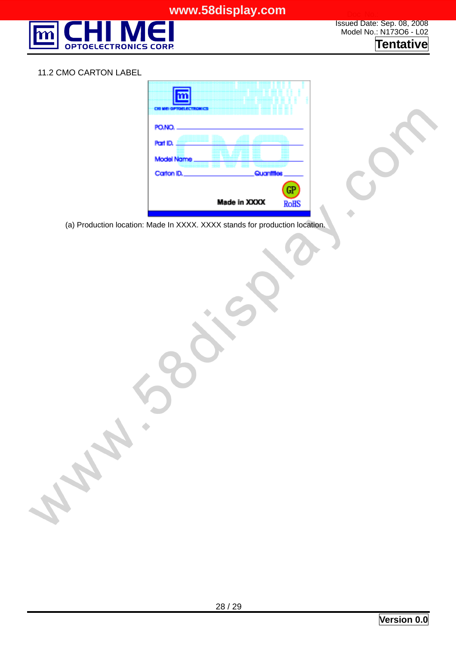

Issued Date: Sep. 08, 2008 Model No.: N173O6 - L02 **Tentative**

#### 11.2 CMO CARTON LABEL

| n an Ialan an Island                    |              |                   |
|-----------------------------------------|--------------|-------------------|
| PO.NO.<br>Part ID.<br><b>Model Name</b> |              |                   |
| Catton ID.                              | Quantitles   |                   |
|                                         | Made in XXXX | GP<br><b>RoHS</b> |

(a) Production location: Made In XXXX. XXXX stands for production location.